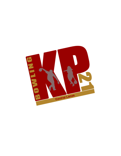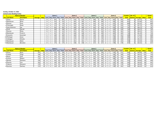## **Sunday, October 17, 2021 Central Lanes Bowling Center**

| <b>Name of Bowler</b><br>Game 1 |                   |                |             |              |             | Game 2 |            |              |             |          | Game 3 |                  |    |                                  |          | Game 4 |                  |   | <b>Scratch</b>      | No. of I |     |              | Grand |                      |             |              |
|---------------------------------|-------------------|----------------|-------------|--------------|-------------|--------|------------|--------------|-------------|----------|--------|------------------|----|----------------------------------|----------|--------|------------------|---|---------------------|----------|-----|--------------|-------|----------------------|-------------|--------------|
| <b>Pos Last Name</b>            | <b>First Name</b> | <b>Average</b> | <b>Hdcp</b> | Lane   Seg   | Score   Hcp | Total  | Lane   Seg |              | Score   Hcp |          |        |                  |    | Total   Lane   Seg   Score   Hcp |          | Total  | Lane Seq         |   | Score   Hcp   Total |          |     | <b>Total</b> |       | <b>Games</b> Average | <b>Hdcp</b> | <b>Total</b> |
| <b>Elliott</b>                  | Aaron             |                |             | 29           | 201         | 201    |            |              | 216         |          | 216    | 25               | B. | 248                              |          | 248    | 23               |   | 242                 | $\Omega$ | 242 | 907          |       | 226.75               |             | 907          |
| 2 Manibusan                     | <b>Brian</b>      |                |             | ້            | 214         | 214    |            |              | 182         |          | 182    | 25               |    | 200                              |          | 200    | 23               |   | 256                 |          | 256 | 852          |       | 213.00               |             | 852          |
| 3 Duenas                        | Evan              |                |             | $\cap$<br>۷. | 170         | 170    |            |              | 204         |          | 204    | 29               |    | 210                              |          | 210    | $\neg$ $\exists$ |   | 225                 |          | 225 | 809          |       | 202.25               |             | 809          |
| 4 Taimanglo                     | Noah              |                |             | າດ<br>∠о     | 173         | 173    | 30         | <sup>B</sup> | 192         |          | 192    | 20               | B  | 193                              |          | 193    | 24               | B | 233                 |          | 233 | 791          |       | 197.75               |             | 791          |
| 5 Leon Guerrero                 | Jay               |                |             | າດ<br>∠о     | 202         | 202    | 30         | $\Lambda$    | 189         |          | 189    | 20               |    | 163                              |          | 163    | 24               |   | 233                 |          | 233 | 787          |       | 196.75               |             | 787          |
| 6 Scott                         | Darrell           |                |             | $\sim$       | 240         | 240    | 28         |              | 136         |          | 136    | 30               |    | 237                              |          | 237    | $\sim$<br>ΖU     |   | 150                 |          | 150 | 763          |       | 190.75               |             | 763          |
| 7 Duenas                        | Ricky             |                |             |              | 153         | 153    |            | <sub>B</sub> | 201         |          | 201    | 24               | B. | 226                              |          | 226    | $\sim$<br>26     |   | 181                 |          | 181 | 761          |       | 190.25               |             | 761          |
| 8 Manibusan                     | Frank Jr.         |                |             | $\sim$       | 187         | 187    |            |              | 168         |          | 168    | 23               |    | 189                              |          | 189    |                  |   | 182                 |          | 182 | 726          |       | 181.50               |             | 726          |
| 9 Camacho                       | Jeremiah          |                |             | n r          | 189         | 189    |            |              | 180         |          | 180    |                  |    | 138                              |          | 138    |                  |   | 191                 |          | 191 | 698          |       | 174.50               |             | 698          |
| 10 Flickinger                   | Jesse             |                |             | $\sim$       | 226         | 226    |            |              | 144         | $\Omega$ | 144    | 26               |    | 158                              | $\Omega$ | 158    | 28               |   | 158                 | $\Omega$ | 158 | 686          |       | 171.50               |             | 686          |
| 11 Catbagan                     | Charles           |                |             |              | 169         | 169    | ۷b         |              | 147         |          | 147    | 28               |    | 176                              |          | 176    |                  |   | 169                 |          | 169 | 661          |       | 165.25               |             | 661          |
| 12 Manibusan                    | Mark              |                |             |              | 166         | 166    | 29         |              | 181         |          | 181    | 77<br>$\angle$ / |    | 166                              |          | 166    | n F<br>25        |   | 145                 |          | 145 | 658          |       | 164.50               |             | 658          |
| 13 Manibusan                    | Brandon           |                |             |              | 174         | 174    |            |              | 148         |          | 148    | 24               |    | 157                              |          | 157    |                  |   | 178                 | $\Omega$ | 178 | 657          |       | 164.25               |             | 657          |

|                      | <b>Name of Bowler</b> |                |  | Game 1 |                                 |              |              |    | Game 2       |                                  |    |     |    | Game 3                           |                 |       |  | Game 4                   |     |              | <b>Scratch</b>  | No. of       |         |             | <b>Grand</b> |
|----------------------|-----------------------|----------------|--|--------|---------------------------------|--------------|--------------|----|--------------|----------------------------------|----|-----|----|----------------------------------|-----------------|-------|--|--------------------------|-----|--------------|-----------------|--------------|---------|-------------|--------------|
| <b>Pos Last Name</b> | <b>First Name</b>     | <b>Average</b> |  |        | Hdcp   Lane   Seq   Score   Hcp |              | <b>Total</b> |    |              | Lane   Seg   Score   Hcp   Total |    |     |    | Lane   Seg   Score   Hcp   Total |                 |       |  | Lane   Seg   Score   Hcp |     | <b>Total</b> | <b>Tota</b>     | <b>Games</b> | Average | <b>Hdcp</b> | <b>Total</b> |
| 1 Flores             | Ryan                  | 147            |  |        | 162                             |              | 194          | 10 | B            | 161                              | 32 | 193 | 20 | 162                              | 321             | 194   |  | 179                      |     | 211          | 664             |              | 166.00  | 128         | 792          |
| 2 Toledo             | Virgil                | 146            |  |        | .73                             |              |              |    |              | 134                              | 33 | 167 |    | 154                              | 33 <sup>1</sup> | 187   |  |                          | 33  | 169          | 597             |              | 149.25  | 132         | 729          |
| <b>B</b> Reyes       | Josh                  | 161            |  |        | 155                             |              | 176          |    |              | 147                              |    | 168 |    | 143                              | 211             | 164   |  | 140                      |     | 161          | 585             |              | 146.25  | 84          | 669          |
| 4 Leones             | Robert                | 174            |  |        | 137                             |              | 149          |    |              | 178                              | 12 | 190 | 10 | 186                              | 12 <sup>1</sup> | 198   |  | 108                      |     | 120          | 60 <sup>c</sup> |              | 152.25  | 48          | 657          |
| 5 Bamba              | Kaimana               | 158            |  |        | 165                             |              | 189          |    | <sub>B</sub> | 147                              | 24 | 171 | 28 | 143                              | 24              | 167 l |  | U.                       |     | 121          | 552             |              | 138.00  | 961         | 648          |
| 6 Duenas             | Lisa                  | 163            |  |        | 149                             |              | 169          |    | B.           | 161                              | 20 | 181 |    | 136                              | 20              | 156   |  | 116                      | 20  | 136          | 562             |              | 140.50  | 80          | 642          |
| 7 Cabrera            | Giovanni              | 170            |  |        | 122'                            |              |              |    | B.           | 139                              | 15 | 154 |    | 146                              | 15 <sup>1</sup> |       |  |                          | 15. | 170          | 562             |              | 140.50  | 60          | 622          |
| 8 Sanchez            | Zachary               | 172            |  |        |                                 | $\mathbf{1}$ | 123          |    |              | 154                              | 13 | 167 |    | 119                              | 13 <sup>1</sup> | 132   |  | 178                      | 131 | 191          | 561             |              | 140.25  | 52          | 613          |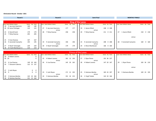## **Elimination Round - October 2021**

| Round 1                     |                  | Round 2                             |                            | Semi-Final                                   | <b>MONTHLY FINALS</b>                     |  |  |  |  |  |
|-----------------------------|------------------|-------------------------------------|----------------------------|----------------------------------------------|-------------------------------------------|--|--|--|--|--|
|                             |                  |                                     |                            |                                              |                                           |  |  |  |  |  |
|                             |                  |                                     | <b>King of the Lanes</b>   |                                              |                                           |  |  |  |  |  |
| Lane Seed Athlete's Name    | Game Hp Total    | Lane Seed Athlete's Name            | Game Hp Total              | Lane Seed Athlete's Name<br>Game Hp Total    | ane Seed Athlete's Name<br>Game Hp Total  |  |  |  |  |  |
| 19<br>5 Jay Leon Guerrero   | 140<br>140       |                                     |                            |                                              |                                           |  |  |  |  |  |
| 20 10 Jesse Flickinger      | 123<br>123       | 5 Jay Leon Guerrero<br>27<br>versus | 177<br>177                 | 1 Aaron Elliott<br>19<br>248 0 248<br>versus |                                           |  |  |  |  |  |
| 6 Darrell Scott<br>23       | 179<br>179       | 28<br>7 Ricky Duenas                | 258<br>258                 | 211 0 211<br>20<br>7 Ricky Duenas            | 1 Aaron Elliott<br>27<br>218<br>$0$ 218   |  |  |  |  |  |
| 7 Ricky Duenas<br>24        | 205<br>205       |                                     |                            |                                              |                                           |  |  |  |  |  |
|                             |                  |                                     |                            |                                              | versus                                    |  |  |  |  |  |
| 3 Evan Duenas<br>25         | 167<br>167       |                                     |                            |                                              |                                           |  |  |  |  |  |
| 26<br>9 Jeremiah Camacho    | 195<br>195       | 9 Jeremiah Camacho<br>19            | 196<br>196                 | 9 Jeremiah Camacho<br>208 0 208<br>23        | 9 Jeremiah Camacho<br>28<br>160<br>0, 160 |  |  |  |  |  |
|                             |                  | versus                              |                            | versus                                       |                                           |  |  |  |  |  |
| 4 Noah Taimanglo<br>27      | 220<br>220       | 4 Noah Taimanglo<br>20              | 179<br>179                 | 2 Brian Manibusan<br>24<br>166 0 166         |                                           |  |  |  |  |  |
| 8 Frank Manibusan Jr.<br>28 | 219<br>219       |                                     |                            |                                              |                                           |  |  |  |  |  |
|                             |                  |                                     |                            |                                              |                                           |  |  |  |  |  |
|                             |                  |                                     | <b>Prince of the Lanes</b> |                                              |                                           |  |  |  |  |  |
| Lane Seed Athlete's Name    | Game Hp Total    | Lane Seed Athlete's Name            | Game Hp Total              | Lane Seed Athlete's Name<br>Game Hp Total    | ane Seed Athlete's Name<br>Game Hp Total  |  |  |  |  |  |
| 4 Robert Leones<br>19       | 0                |                                     |                            |                                              |                                           |  |  |  |  |  |
| 20 10                       | $\Omega$         | 4 Robert Leones<br>25               | 181 12 193                 | 27<br>1 Ryan Flores<br>191 36 227            |                                           |  |  |  |  |  |
|                             |                  | versus                              |                            | versus                                       |                                           |  |  |  |  |  |
| 6 Lisa Duenas<br>23         | 149 20 169       | 26<br>6 Lisa Duenas                 | 145 20 165                 | 28<br>147 20 167<br>4 Robert Leones          | 29<br>1 Ryan Flores<br>183 36 219         |  |  |  |  |  |
| 24<br>7 Giovanni Cabrera    | 122 15 137       |                                     |                            |                                              |                                           |  |  |  |  |  |
|                             |                  |                                     |                            |                                              | versus                                    |  |  |  |  |  |
| 3 Josh Reyes<br>27          | 0<br>0           |                                     |                            |                                              |                                           |  |  |  |  |  |
| 28<br>9                     | $\mathbf 0$<br>0 | 3 Josh Reyes<br>23                  | 171 21 192                 | 25<br>5 Kaimana Bamba<br>183 24 207          | 30<br>5 Kaimana Bamba<br>169 24 193       |  |  |  |  |  |
|                             |                  | versus                              |                            | versus                                       |                                           |  |  |  |  |  |
| 5 Kaimana Bamba<br>29       | 142 24 166       | 5 Kaimana Bamba<br>24               | 191 24 215                 | 2 Virgil Toledo<br>26<br>142 24 166          |                                           |  |  |  |  |  |
| 30<br>8 Zachary Sanchez     | 151 13 164       |                                     |                            |                                              |                                           |  |  |  |  |  |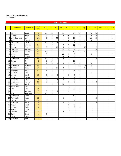## King and Prince of the Lanes

Leaderboard

|                 |                  |                   |                        |                 |                 |                 | King of the Lanes |                 |                 |                 |                 |                 |                |            |            |                |
|-----------------|------------------|-------------------|------------------------|-----------------|-----------------|-----------------|-------------------|-----------------|-----------------|-----------------|-----------------|-----------------|----------------|------------|------------|----------------|
|                 |                  |                   |                        |                 |                 |                 |                   |                 |                 |                 |                 |                 |                |            |            |                |
| Pos             | <b>Last Name</b> | <b>First Name</b> | Total<br><b>Points</b> | Jan             | Feb             | Mar             | Apr               | May             | Jun             | Jul             | Aug             | Sep             | Oct            | <b>Nov</b> | <b>Dec</b> | <b>Titles</b>  |
|                 |                  |                   |                        |                 |                 |                 |                   |                 |                 |                 |                 |                 |                |            |            |                |
|                 | 1 Elliott        | Aaron             | 165                    | 15              | 30              | 10              | 20                |                 | 20              | 30              |                 | 10              | 30             |            |            | 3              |
|                 | 2 Duenas         | Ricky             | 106                    | 20              | $\overline{2}$  | 15              | $\overline{2}$    | 30              | 5               | $\overline{2}$  | 5               | 10              | 15             |            |            | $1\,$          |
| 3               | Leon Guerrero    | Jay               | 102                    | 5               | $\overline{2}$  | $\overline{30}$ |                   | 15              | $\overline{10}$ |                 |                 | $\overline{30}$ | 10             |            |            | $\overline{2}$ |
|                 | 4 Scott          | Darrell           | 87                     |                 |                 |                 |                   | $\overline{10}$ | $\overline{2}$  | 20              | 30              | 20              | 5              |            |            | $\mathbf{1}$   |
|                 | 5 Villanueva     | Cesar             | 72                     | $\overline{30}$ | $\overline{10}$ | $\overline{15}$ |                   |                 | 5               | $\overline{2}$  | $\overline{10}$ |                 |                |            |            | $\mathbf{1}$   |
|                 | 6 Borja          | Gregory           | 67                     |                 | 10              |                 | $\sqrt{2}$        | 10              | 30              | $\overline{15}$ |                 |                 |                |            |            | $\mathbf{1}$   |
| 7               | Duenas           | Evan              | 66                     | 5               | $\overline{2}$  | 20              | 5                 | $\overline{2}$  | $\overline{2}$  | 5               | 20              |                 | 5              |            |            |                |
|                 | 8 Camacho        | Jeremiah          | 62                     |                 | $\overline{15}$ |                 | 10                | $\overline{5}$  | $\overline{2}$  | 10              |                 |                 | 20             |            |            |                |
| 9               | Catbagan         | Charlie           | $\overline{61}$        | 10              | $\overline{2}$  | $\overline{2}$  | 15                |                 | $\overline{15}$ |                 | 15              |                 | $\overline{2}$ |            |            |                |
|                 | 10 Wood          | Maria             | 51                     | $\overline{2}$  |                 |                 | $\overline{30}$   | $\overline{2}$  | $\overline{2}$  |                 |                 | 15              |                |            |            | $\mathbf{1}$   |
|                 | 11 Tagle         | Manny             | $\overline{44}$        |                 |                 | $\overline{2}$  | $\overline{15}$   | $\overline{20}$ | 5               | $\overline{2}$  |                 |                 |                |            |            |                |
| 12              | Manibusan        | <b>Brian</b>      | 44                     | 15              | 5               | 5               | $\overline{2}$    | $\overline{2}$  |                 |                 |                 |                 | 15             |            |            |                |
| 13              | Santos           | RJ                | 40                     | 5               | $\overline{20}$ |                 |                   |                 | 15              |                 |                 |                 |                |            |            |                |
|                 | 14 Cruz          | Ray               | $\overline{35}$        | $\overline{2}$  | 15              | $\overline{2}$  | 5                 | $\overline{2}$  | $\overline{2}$  | $\overline{2}$  |                 | 5               |                |            |            |                |
|                 | 15 Manibusan     | Brandon           | $\overline{34}$        |                 |                 |                 |                   | $\overline{2}$  |                 | 10              | 15              | $\overline{5}$  | $\overline{2}$ |            |            |                |
|                 | 16 Zamora        | Zayne             | $\overline{31}$        | $\overline{2}$  | 5               | 10              | $\overline{2}$    | $\overline{2}$  |                 |                 | 10              |                 |                |            |            |                |
| 17              | Mendiola         | Justin            | 30                     | $\overline{2}$  | 5               | $\overline{2}$  | $\overline{2}$    | $\overline{2}$  | $\overline{2}$  | 15              |                 |                 |                |            |            |                |
|                 | 18 Sanchez       | Mike              | 25                     |                 |                 |                 | 5                 |                 |                 |                 | 5               | 15              |                |            |            |                |
| 19              | Lanuza           | Josiah            | $\overline{18}$        | $\overline{2}$  | $\overline{2}$  | $\overline{2}$  |                   | 5               | $\overline{2}$  | 5               |                 |                 |                |            |            |                |
|                 | 20 Borja         | Darian            | 16                     |                 |                 | 5               | 5                 | $\overline{2}$  | $\overline{2}$  | $\overline{2}$  |                 |                 |                |            |            |                |
| 21              | Gutierrez        | Nikko             | 16                     | $\overline{2}$  |                 | 5               | $\overline{2}$    |                 | $\overline{2}$  | 5               |                 |                 |                |            |            |                |
|                 | 22 Manibusan     | Frank Jr.         | $\overline{16}$        | $\overline{2}$  |                 | $\overline{2}$  |                   | 5               | $\overline{2}$  |                 |                 |                 | 5              |            |            |                |
|                 | 23 Gutierrez     | Jared             | 15                     |                 | 5               |                 | 10                |                 |                 |                 |                 |                 |                |            |            |                |
| 24              | San Nicolas      | Ray               | 15                     |                 |                 |                 |                   | 15              |                 |                 |                 |                 |                |            |            |                |
| $\overline{25}$ | Day              | Erik              | 14                     |                 |                 |                 |                   | $\overline{2}$  | 5               | $\overline{2}$  | 5               |                 |                |            |            |                |
|                 | 26 Lee           | Jae Sang          | $\overline{13}$        | $\overline{2}$  | $\overline{2}$  | $\overline{2}$  |                   | $\overline{2}$  |                 | 5               |                 |                 |                |            |            |                |
| 27              | Ada              | John John         | 12                     | 10              | $\overline{2}$  |                 |                   |                 |                 |                 |                 |                 |                |            |            |                |
|                 | 28 Manibusan     | Mark              | $\overline{12}$        |                 |                 |                 |                   |                 | 10              |                 |                 |                 | $\overline{2}$ |            |            |                |
|                 | 29 Taimanglo     | Noah              | 12                     |                 |                 |                 | $\overline{2}$    |                 |                 |                 |                 |                 | 10             |            |            |                |
|                 | 30 Castro        | $\overline{JD}$   | $\overline{9}$         | 5               | $\overline{2}$  |                 |                   |                 | $\overline{2}$  |                 |                 |                 |                |            |            |                |
|                 | 31 Flickinger    | Jesse             | $\overline{9}$         |                 |                 |                 | $\overline{2}$    | $\overline{2}$  |                 |                 |                 |                 | 5              |            |            |                |
| $\overline{32}$ | Petrus           | Jared             | $\overline{7}$         |                 |                 |                 |                   | 5               | $\overline{c}$  |                 |                 |                 |                |            |            |                |
|                 | 33 Norton        | Chris             | 6                      |                 |                 |                 |                   | $\overline{2}$  | $\overline{2}$  | $\overline{2}$  |                 |                 |                |            |            |                |
| 34              | Ponce            | Zaldy             | $\overline{4}$         |                 |                 | $\overline{2}$  |                   | $\overline{2}$  |                 |                 |                 |                 |                |            |            |                |
| 35              | Cabrera          | lan               | $\overline{2}$         |                 |                 |                 | $\overline{2}$    |                 |                 |                 |                 |                 |                |            |            |                |
|                 | 36 Calip         | <b>Bruce</b>      | $\overline{2}$         | $\overline{2}$  |                 |                 |                   |                 |                 |                 |                 |                 |                |            |            |                |
| 37              | Dimla            | Darryl            | $\overline{2}$         |                 |                 |                 | $\overline{2}$    |                 |                 |                 |                 |                 |                |            |            |                |
|                 | 38 Mercado       | John              | $\overline{2}$         |                 | 2               |                 |                   |                 |                 |                 |                 |                 |                |            |            |                |